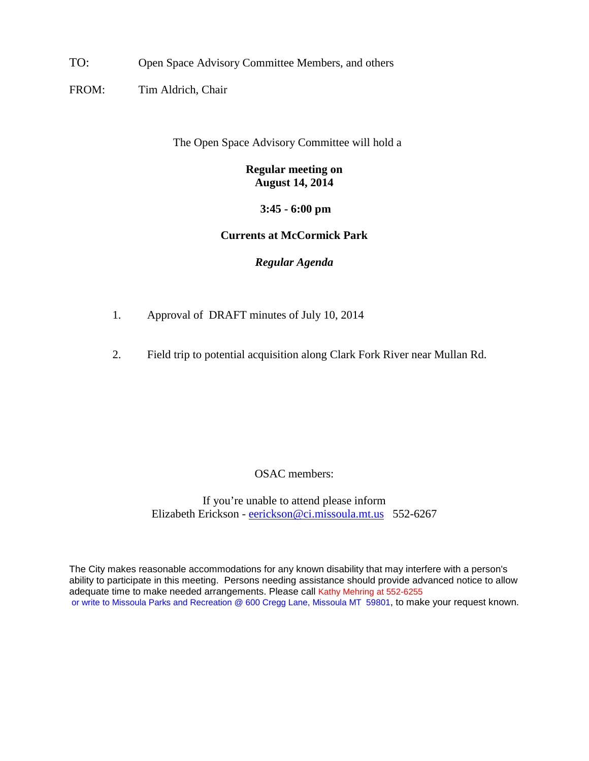TO: Open Space Advisory Committee Members, and others

FROM: Tim Aldrich, Chair

The Open Space Advisory Committee will hold a

## **Regular meeting on August 14, 2014**

**3:45 - 6:00 pm**

## **Currents at McCormick Park**

## *Regular Agenda*

- 1. Approval of DRAFT minutes of July 10, 2014
- 2. Field trip to potential acquisition along Clark Fork River near Mullan Rd.

OSAC members:

If you're unable to attend please inform Elizabeth Erickson - [eerickson@ci.missoula.mt.us](mailto:eerickson@ci.missoula.mt.us) 552-6267

The City makes reasonable accommodations for any known disability that may interfere with a person's ability to participate in this meeting. Persons needing assistance should provide advanced notice to allow adequate time to make needed arrangements. Please call Kathy Mehring at 552-6255 or write to Missoula Parks and Recreation @ 600 Cregg Lane, Missoula MT 59801, to make your request known.